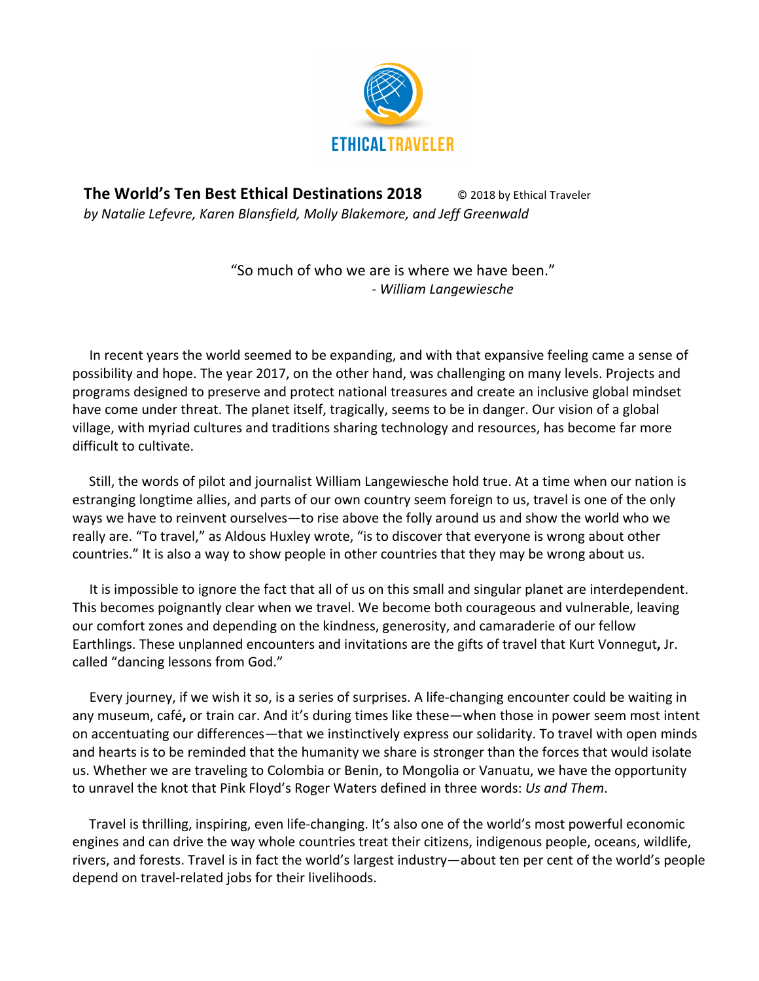

**The World's Ten Best Ethical Destinations 2018** © 2018 by Ethical Traveler by Natalie Lefevre, Karen Blansfield, Molly Blakemore, and Jeff Greenwald

> "So much of who we are is where we have been." - *William Langewiesche*

In recent years the world seemed to be expanding, and with that expansive feeling came a sense of possibility and hope. The year 2017, on the other hand, was challenging on many levels. Projects and programs designed to preserve and protect national treasures and create an inclusive global mindset have come under threat. The planet itself, tragically, seems to be in danger. Our vision of a global village, with myriad cultures and traditions sharing technology and resources, has become far more difficult to cultivate.

Still, the words of pilot and journalist William Langewiesche hold true. At a time when our nation is estranging longtime allies, and parts of our own country seem foreign to us, travel is one of the only ways we have to reinvent ourselves—to rise above the folly around us and show the world who we really are. "To travel," as Aldous Huxley wrote, "is to discover that everyone is wrong about other countries." It is also a way to show people in other countries that they may be wrong about us.

It is impossible to ignore the fact that all of us on this small and singular planet are interdependent. This becomes poignantly clear when we travel. We become both courageous and vulnerable, leaving our comfort zones and depending on the kindness, generosity, and camaraderie of our fellow Earthlings. These unplanned encounters and invitations are the gifts of travel that Kurt Vonnegut, Jr. called "dancing lessons from God."

Every journey, if we wish it so, is a series of surprises. A life-changing encounter could be waiting in any museum, café, or train car. And it's during times like these—when those in power seem most intent on accentuating our differences—that we instinctively express our solidarity. To travel with open minds and hearts is to be reminded that the humanity we share is stronger than the forces that would isolate us. Whether we are traveling to Colombia or Benin, to Mongolia or Vanuatu, we have the opportunity to unravel the knot that Pink Floyd's Roger Waters defined in three words: Us and Them.

Travel is thrilling, inspiring, even life-changing. It's also one of the world's most powerful economic engines and can drive the way whole countries treat their citizens, indigenous people, oceans, wildlife, rivers, and forests. Travel is in fact the world's largest industry—about ten per cent of the world's people depend on travel-related jobs for their livelihoods.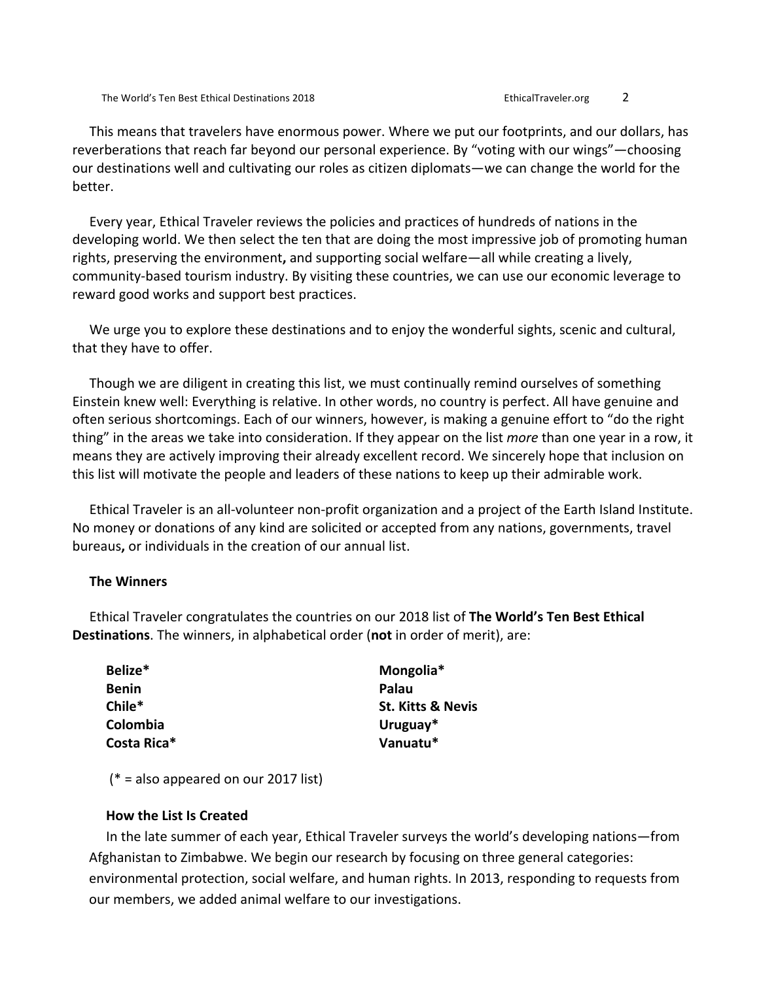This means that travelers have enormous power. Where we put our footprints, and our dollars, has reverberations that reach far beyond our personal experience. By "voting with our wings"—choosing our destinations well and cultivating our roles as citizen diplomats—we can change the world for the better. 

Every year, Ethical Traveler reviews the policies and practices of hundreds of nations in the developing world. We then select the ten that are doing the most impressive job of promoting human rights, preserving the environment, and supporting social welfare—all while creating a lively, community-based tourism industry. By visiting these countries, we can use our economic leverage to reward good works and support best practices.

We urge you to explore these destinations and to enjoy the wonderful sights, scenic and cultural, that they have to offer.

Though we are diligent in creating this list, we must continually remind ourselves of something Einstein knew well: Everything is relative. In other words, no country is perfect. All have genuine and often serious shortcomings. Each of our winners, however, is making a genuine effort to "do the right thing" in the areas we take into consideration. If they appear on the list *more* than one year in a row, it means they are actively improving their already excellent record. We sincerely hope that inclusion on this list will motivate the people and leaders of these nations to keep up their admirable work.

Ethical Traveler is an all-volunteer non-profit organization and a project of the Earth Island Institute. No money or donations of any kind are solicited or accepted from any nations, governments, travel bureaus, or individuals in the creation of our annual list.

## **The Winners**

Ethical Traveler congratulates the countries on our 2018 list of The World's Ten Best Ethical **Destinations**. The winners, in alphabetical order (not in order of merit), are:

| Belize*     | Mongolia*                    |
|-------------|------------------------------|
| Benin       | Palau                        |
| Chile*      | <b>St. Kitts &amp; Nevis</b> |
| Colombia    | Uruguay*                     |
| Costa Rica* | Vanuatu*                     |
|             |                              |

 $(* = also appeared on our 2017 list)$ 

#### **How the List Is Created**

In the late summer of each year, Ethical Traveler surveys the world's developing nations—from Afghanistan to Zimbabwe. We begin our research by focusing on three general categories: environmental protection, social welfare, and human rights. In 2013, responding to requests from our members, we added animal welfare to our investigations.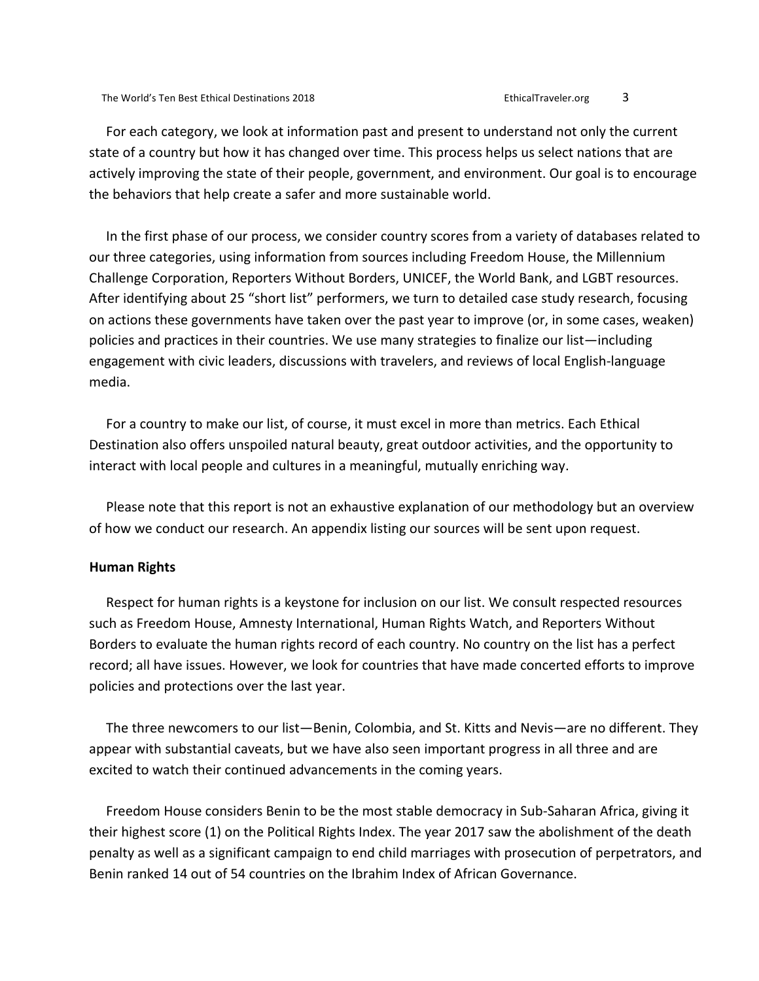For each category, we look at information past and present to understand not only the current state of a country but how it has changed over time. This process helps us select nations that are actively improving the state of their people, government, and environment. Our goal is to encourage the behaviors that help create a safer and more sustainable world.

In the first phase of our process, we consider country scores from a variety of databases related to our three categories, using information from sources including Freedom House, the Millennium Challenge Corporation, Reporters Without Borders, UNICEF, the World Bank, and LGBT resources. After identifying about 25 "short list" performers, we turn to detailed case study research, focusing on actions these governments have taken over the past year to improve (or, in some cases, weaken) policies and practices in their countries. We use many strategies to finalize our list—including engagement with civic leaders, discussions with travelers, and reviews of local English-language media.

For a country to make our list, of course, it must excel in more than metrics. Each Ethical Destination also offers unspoiled natural beauty, great outdoor activities, and the opportunity to interact with local people and cultures in a meaningful, mutually enriching way.

Please note that this report is not an exhaustive explanation of our methodology but an overview of how we conduct our research. An appendix listing our sources will be sent upon request.

#### **Human Rights**

Respect for human rights is a keystone for inclusion on our list. We consult respected resources such as Freedom House, Amnesty International, Human Rights Watch, and Reporters Without Borders to evaluate the human rights record of each country. No country on the list has a perfect record; all have issues. However, we look for countries that have made concerted efforts to improve policies and protections over the last year.

The three newcomers to our list—Benin, Colombia, and St. Kitts and Nevis—are no different. They appear with substantial caveats, but we have also seen important progress in all three and are excited to watch their continued advancements in the coming years.

Freedom House considers Benin to be the most stable democracy in Sub-Saharan Africa, giving it their highest score (1) on the Political Rights Index. The year 2017 saw the abolishment of the death penalty as well as a significant campaign to end child marriages with prosecution of perpetrators, and Benin ranked 14 out of 54 countries on the Ibrahim Index of African Governance.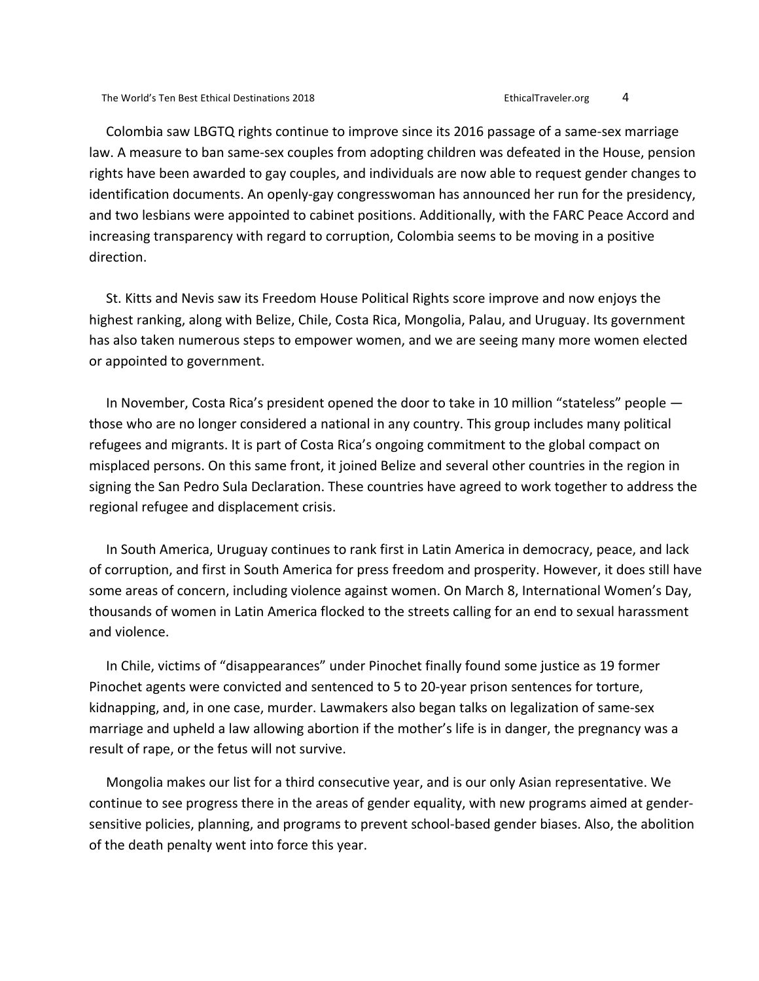Colombia saw LBGTQ rights continue to improve since its 2016 passage of a same-sex marriage law. A measure to ban same-sex couples from adopting children was defeated in the House, pension rights have been awarded to gay couples, and individuals are now able to request gender changes to identification documents. An openly-gay congresswoman has announced her run for the presidency, and two lesbians were appointed to cabinet positions. Additionally, with the FARC Peace Accord and increasing transparency with regard to corruption, Colombia seems to be moving in a positive direction.

St. Kitts and Nevis saw its Freedom House Political Rights score improve and now enjoys the highest ranking, along with Belize, Chile, Costa Rica, Mongolia, Palau, and Uruguay. Its government has also taken numerous steps to empower women, and we are seeing many more women elected or appointed to government.

In November, Costa Rica's president opened the door to take in 10 million "stateless" people  $$ those who are no longer considered a national in any country. This group includes many political refugees and migrants. It is part of Costa Rica's ongoing commitment to the global compact on misplaced persons. On this same front, it joined Belize and several other countries in the region in signing the San Pedro Sula Declaration. These countries have agreed to work together to address the regional refugee and displacement crisis.

In South America, Uruguay continues to rank first in Latin America in democracy, peace, and lack of corruption, and first in South America for press freedom and prosperity. However, it does still have some areas of concern, including violence against women. On March 8, International Women's Day, thousands of women in Latin America flocked to the streets calling for an end to sexual harassment and violence.

In Chile, victims of "disappearances" under Pinochet finally found some justice as 19 former Pinochet agents were convicted and sentenced to 5 to 20-year prison sentences for torture, kidnapping, and, in one case, murder. Lawmakers also began talks on legalization of same-sex marriage and upheld a law allowing abortion if the mother's life is in danger, the pregnancy was a result of rape, or the fetus will not survive.

Mongolia makes our list for a third consecutive year, and is our only Asian representative. We continue to see progress there in the areas of gender equality, with new programs aimed at gendersensitive policies, planning, and programs to prevent school-based gender biases. Also, the abolition of the death penalty went into force this year.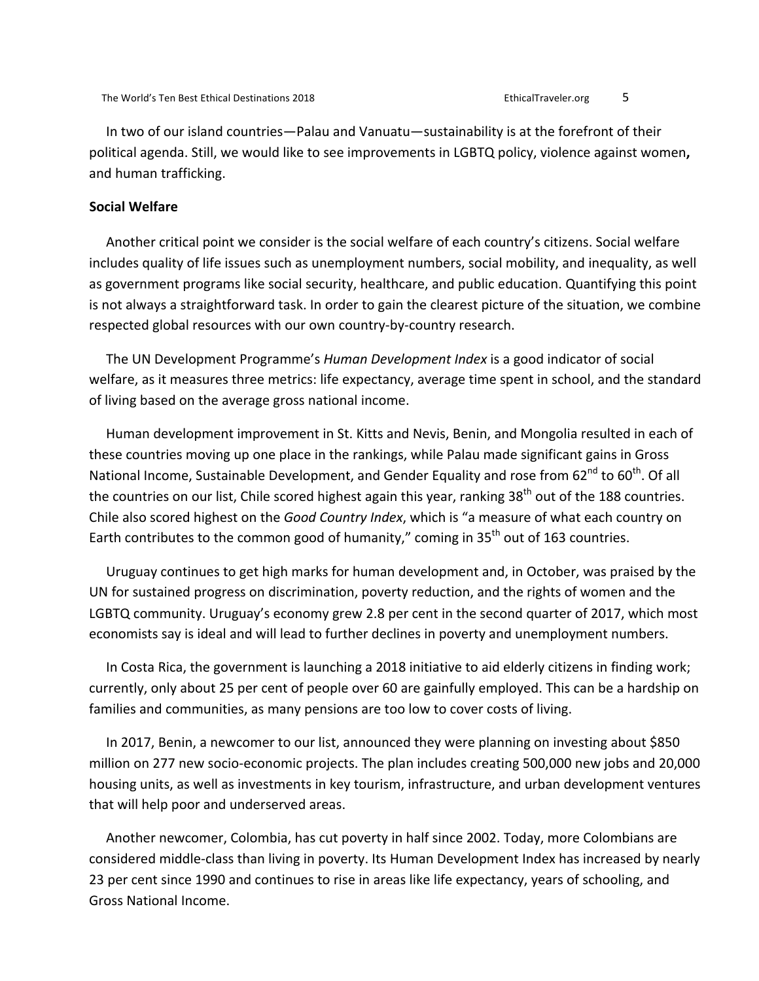In two of our island countries—Palau and Vanuatu—sustainability is at the forefront of their political agenda. Still, we would like to see improvements in LGBTQ policy, violence against women, and human trafficking.

# **Social Welfare**

Another critical point we consider is the social welfare of each country's citizens. Social welfare includes quality of life issues such as unemployment numbers, social mobility, and inequality, as well as government programs like social security, healthcare, and public education. Quantifying this point is not always a straightforward task. In order to gain the clearest picture of the situation, we combine respected global resources with our own country-by-country research.

The UN Development Programme's *Human Development Index* is a good indicator of social welfare, as it measures three metrics: life expectancy, average time spent in school, and the standard of living based on the average gross national income.

Human development improvement in St. Kitts and Nevis, Benin, and Mongolia resulted in each of these countries moving up one place in the rankings, while Palau made significant gains in Gross National Income, Sustainable Development, and Gender Equality and rose from 62<sup>nd</sup> to 60<sup>th</sup>. Of all the countries on our list, Chile scored highest again this year, ranking 38<sup>th</sup> out of the 188 countries. Chile also scored highest on the *Good Country Index*, which is "a measure of what each country on Earth contributes to the common good of humanity," coming in 35<sup>th</sup> out of 163 countries.

Uruguay continues to get high marks for human development and, in October, was praised by the UN for sustained progress on discrimination, poverty reduction, and the rights of women and the LGBTQ community. Uruguay's economy grew 2.8 per cent in the second quarter of 2017, which most economists say is ideal and will lead to further declines in poverty and unemployment numbers.

In Costa Rica, the government is launching a 2018 initiative to aid elderly citizens in finding work; currently, only about 25 per cent of people over 60 are gainfully employed. This can be a hardship on families and communities, as many pensions are too low to cover costs of living.

In 2017, Benin, a newcomer to our list, announced they were planning on investing about \$850 million on 277 new socio-economic projects. The plan includes creating 500,000 new jobs and 20,000 housing units, as well as investments in key tourism, infrastructure, and urban development ventures that will help poor and underserved areas.

Another newcomer, Colombia, has cut poverty in half since 2002. Today, more Colombians are considered middle-class than living in poverty. Its Human Development Index has increased by nearly 23 per cent since 1990 and continues to rise in areas like life expectancy, years of schooling, and Gross National Income.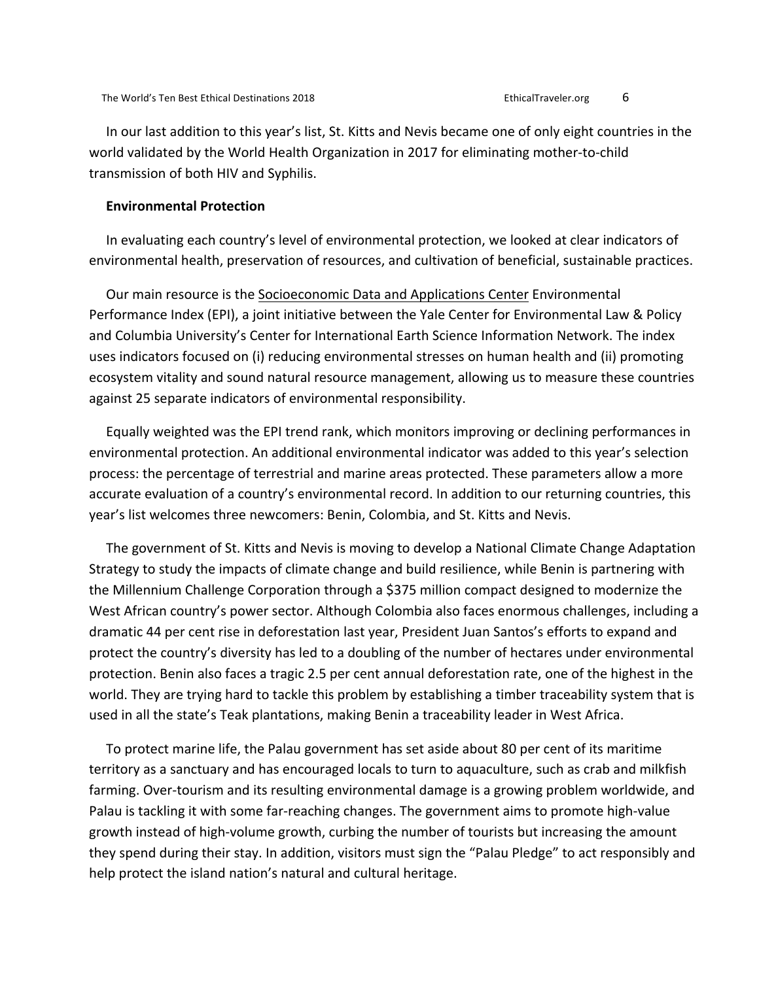In our last addition to this year's list, St. Kitts and Nevis became one of only eight countries in the world validated by the World Health Organization in 2017 for eliminating mother-to-child transmission of both HIV and Syphilis.

# **Environmental Protection**

In evaluating each country's level of environmental protection, we looked at clear indicators of environmental health, preservation of resources, and cultivation of beneficial, sustainable practices.

Our main resource is the Socioeconomic Data and Applications Center Environmental Performance Index (EPI), a joint initiative between the Yale Center for Environmental Law & Policy and Columbia University's Center for International Earth Science Information Network. The index uses indicators focused on (i) reducing environmental stresses on human health and (ii) promoting ecosystem vitality and sound natural resource management, allowing us to measure these countries against 25 separate indicators of environmental responsibility.

Equally weighted was the EPI trend rank, which monitors improving or declining performances in environmental protection. An additional environmental indicator was added to this year's selection process: the percentage of terrestrial and marine areas protected. These parameters allow a more accurate evaluation of a country's environmental record. In addition to our returning countries, this year's list welcomes three newcomers: Benin, Colombia, and St. Kitts and Nevis.

The government of St. Kitts and Nevis is moving to develop a National Climate Change Adaptation Strategy to study the impacts of climate change and build resilience, while Benin is partnering with the Millennium Challenge Corporation through a \$375 million compact designed to modernize the West African country's power sector. Although Colombia also faces enormous challenges, including a dramatic 44 per cent rise in deforestation last year, President Juan Santos's efforts to expand and protect the country's diversity has led to a doubling of the number of hectares under environmental protection. Benin also faces a tragic 2.5 per cent annual deforestation rate, one of the highest in the world. They are trying hard to tackle this problem by establishing a timber traceability system that is used in all the state's Teak plantations, making Benin a traceability leader in West Africa.

To protect marine life, the Palau government has set aside about 80 per cent of its maritime territory as a sanctuary and has encouraged locals to turn to aquaculture, such as crab and milkfish farming. Over-tourism and its resulting environmental damage is a growing problem worldwide, and Palau is tackling it with some far-reaching changes. The government aims to promote high-value growth instead of high-volume growth, curbing the number of tourists but increasing the amount they spend during their stay. In addition, visitors must sign the "Palau Pledge" to act responsibly and help protect the island nation's natural and cultural heritage.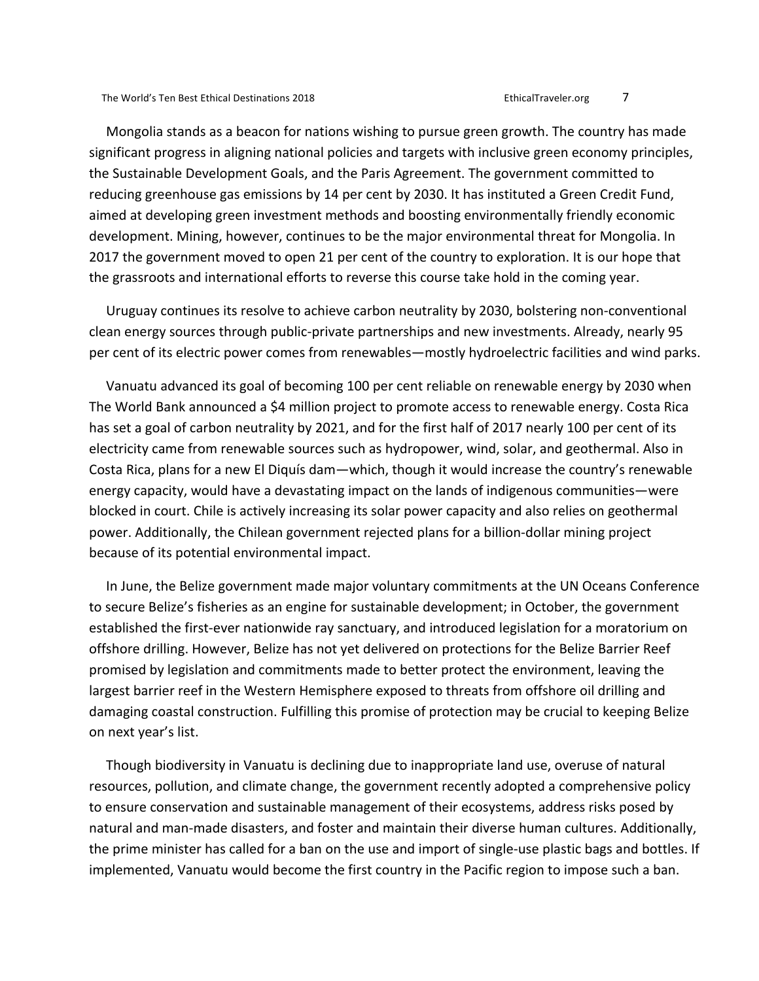Mongolia stands as a beacon for nations wishing to pursue green growth. The country has made significant progress in aligning national policies and targets with inclusive green economy principles, the Sustainable Development Goals, and the Paris Agreement. The government committed to reducing greenhouse gas emissions by 14 per cent by 2030. It has instituted a Green Credit Fund, aimed at developing green investment methods and boosting environmentally friendly economic development. Mining, however, continues to be the major environmental threat for Mongolia. In 2017 the government moved to open 21 per cent of the country to exploration. It is our hope that the grassroots and international efforts to reverse this course take hold in the coming year.

Uruguay continues its resolve to achieve carbon neutrality by 2030, bolstering non-conventional clean energy sources through public-private partnerships and new investments. Already, nearly 95 per cent of its electric power comes from renewables—mostly hydroelectric facilities and wind parks.

Vanuatu advanced its goal of becoming 100 per cent reliable on renewable energy by 2030 when The World Bank announced a \$4 million project to promote access to renewable energy. Costa Rica has set a goal of carbon neutrality by 2021, and for the first half of 2017 nearly 100 per cent of its electricity came from renewable sources such as hydropower, wind, solar, and geothermal. Also in Costa Rica, plans for a new El Diquís dam—which, though it would increase the country's renewable energy capacity, would have a devastating impact on the lands of indigenous communities—were blocked in court. Chile is actively increasing its solar power capacity and also relies on geothermal power. Additionally, the Chilean government rejected plans for a billion-dollar mining project because of its potential environmental impact.

In June, the Belize government made major voluntary commitments at the UN Oceans Conference to secure Belize's fisheries as an engine for sustainable development; in October, the government established the first-ever nationwide ray sanctuary, and introduced legislation for a moratorium on offshore drilling. However, Belize has not yet delivered on protections for the Belize Barrier Reef promised by legislation and commitments made to better protect the environment, leaving the largest barrier reef in the Western Hemisphere exposed to threats from offshore oil drilling and damaging coastal construction. Fulfilling this promise of protection may be crucial to keeping Belize on next year's list.

Though biodiversity in Vanuatu is declining due to inappropriate land use, overuse of natural resources, pollution, and climate change, the government recently adopted a comprehensive policy to ensure conservation and sustainable management of their ecosystems, address risks posed by natural and man-made disasters, and foster and maintain their diverse human cultures. Additionally, the prime minister has called for a ban on the use and import of single-use plastic bags and bottles. If implemented, Vanuatu would become the first country in the Pacific region to impose such a ban.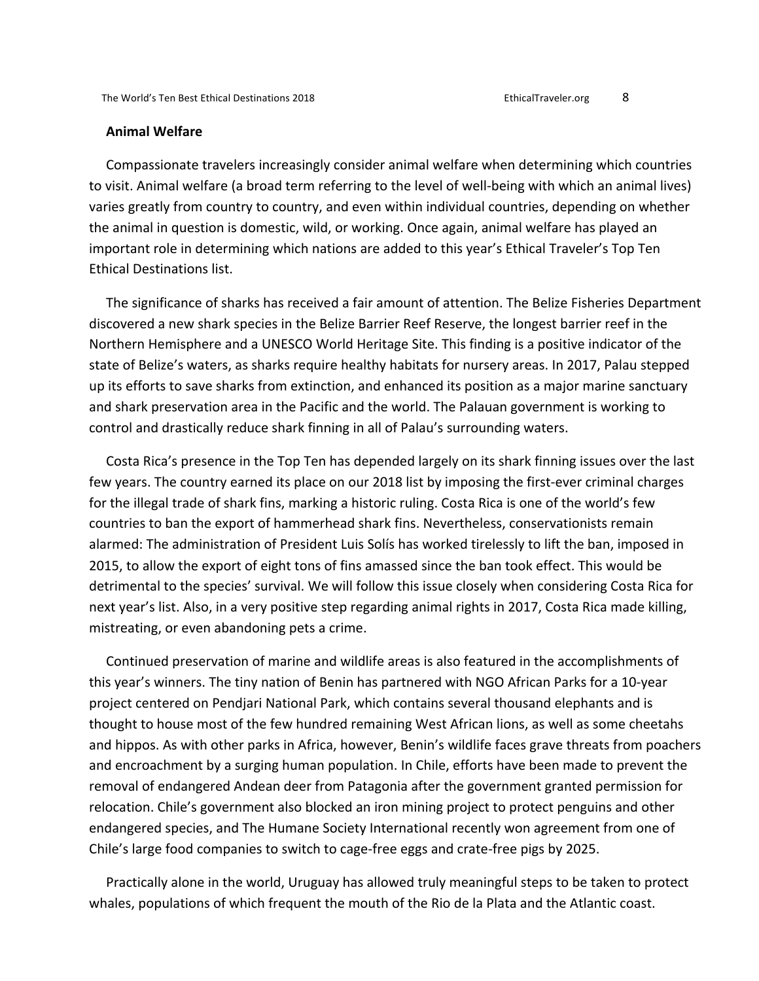## **Animal Welfare**

Compassionate travelers increasingly consider animal welfare when determining which countries to visit. Animal welfare (a broad term referring to the level of well-being with which an animal lives) varies greatly from country to country, and even within individual countries, depending on whether the animal in question is domestic, wild, or working. Once again, animal welfare has played an important role in determining which nations are added to this year's Ethical Traveler's Top Ten Ethical Destinations list. 

The significance of sharks has received a fair amount of attention. The Belize Fisheries Department discovered a new shark species in the Belize Barrier Reef Reserve, the longest barrier reef in the Northern Hemisphere and a UNESCO World Heritage Site. This finding is a positive indicator of the state of Belize's waters, as sharks require healthy habitats for nursery areas. In 2017, Palau stepped up its efforts to save sharks from extinction, and enhanced its position as a major marine sanctuary and shark preservation area in the Pacific and the world. The Palauan government is working to control and drastically reduce shark finning in all of Palau's surrounding waters.

Costa Rica's presence in the Top Ten has depended largely on its shark finning issues over the last few years. The country earned its place on our 2018 list by imposing the first-ever criminal charges for the illegal trade of shark fins, marking a historic ruling. Costa Rica is one of the world's few countries to ban the export of hammerhead shark fins. Nevertheless, conservationists remain alarmed: The administration of President Luis Solís has worked tirelessly to lift the ban, imposed in 2015, to allow the export of eight tons of fins amassed since the ban took effect. This would be detrimental to the species' survival. We will follow this issue closely when considering Costa Rica for next year's list. Also, in a very positive step regarding animal rights in 2017, Costa Rica made killing, mistreating, or even abandoning pets a crime.

Continued preservation of marine and wildlife areas is also featured in the accomplishments of this year's winners. The tiny nation of Benin has partnered with NGO African Parks for a 10-year project centered on Pendjari National Park, which contains several thousand elephants and is thought to house most of the few hundred remaining West African lions, as well as some cheetahs and hippos. As with other parks in Africa, however, Benin's wildlife faces grave threats from poachers and encroachment by a surging human population. In Chile, efforts have been made to prevent the removal of endangered Andean deer from Patagonia after the government granted permission for relocation. Chile's government also blocked an iron mining project to protect penguins and other endangered species, and The Humane Society International recently won agreement from one of Chile's large food companies to switch to cage-free eggs and crate-free pigs by 2025.

Practically alone in the world, Uruguay has allowed truly meaningful steps to be taken to protect whales, populations of which frequent the mouth of the Rio de la Plata and the Atlantic coast.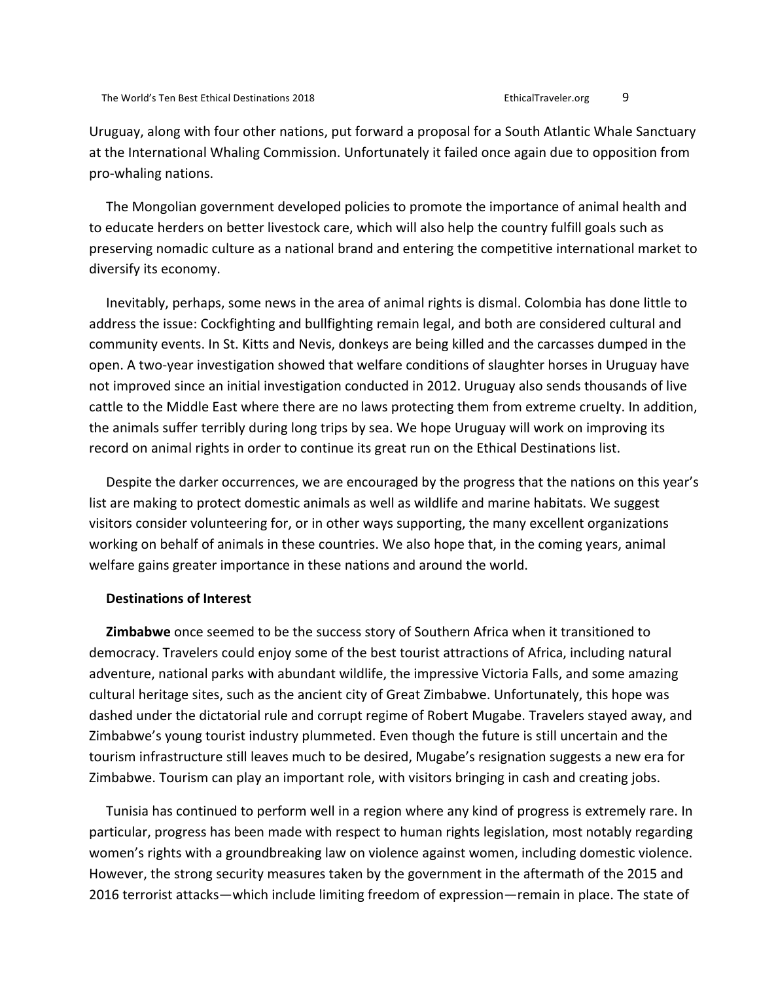Uruguay, along with four other nations, put forward a proposal for a South Atlantic Whale Sanctuary at the International Whaling Commission. Unfortunately it failed once again due to opposition from pro-whaling nations.

The Mongolian government developed policies to promote the importance of animal health and to educate herders on better livestock care, which will also help the country fulfill goals such as preserving nomadic culture as a national brand and entering the competitive international market to diversify its economy.

Inevitably, perhaps, some news in the area of animal rights is dismal. Colombia has done little to address the issue: Cockfighting and bullfighting remain legal, and both are considered cultural and community events. In St. Kitts and Nevis, donkeys are being killed and the carcasses dumped in the open. A two-year investigation showed that welfare conditions of slaughter horses in Uruguay have not improved since an initial investigation conducted in 2012. Uruguay also sends thousands of live cattle to the Middle East where there are no laws protecting them from extreme cruelty. In addition, the animals suffer terribly during long trips by sea. We hope Uruguay will work on improving its record on animal rights in order to continue its great run on the Ethical Destinations list.

Despite the darker occurrences, we are encouraged by the progress that the nations on this year's list are making to protect domestic animals as well as wildlife and marine habitats. We suggest visitors consider volunteering for, or in other ways supporting, the many excellent organizations working on behalf of animals in these countries. We also hope that, in the coming years, animal welfare gains greater importance in these nations and around the world.

#### **Destinations of Interest**

**Zimbabwe** once seemed to be the success story of Southern Africa when it transitioned to democracy. Travelers could enjoy some of the best tourist attractions of Africa, including natural adventure, national parks with abundant wildlife, the impressive Victoria Falls, and some amazing cultural heritage sites, such as the ancient city of Great Zimbabwe. Unfortunately, this hope was dashed under the dictatorial rule and corrupt regime of Robert Mugabe. Travelers stayed away, and Zimbabwe's young tourist industry plummeted. Even though the future is still uncertain and the tourism infrastructure still leaves much to be desired, Mugabe's resignation suggests a new era for Zimbabwe. Tourism can play an important role, with visitors bringing in cash and creating jobs.

Tunisia has continued to perform well in a region where any kind of progress is extremely rare. In particular, progress has been made with respect to human rights legislation, most notably regarding women's rights with a groundbreaking law on violence against women, including domestic violence. However, the strong security measures taken by the government in the aftermath of the 2015 and 2016 terrorist attacks—which include limiting freedom of expression—remain in place. The state of